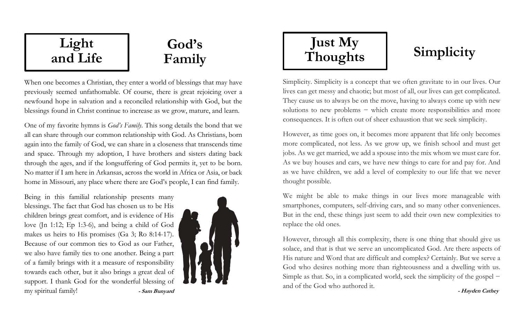## and Life

## God's Family

When one becomes a Christian, they enter a world of blessings that may have previously seemed unfathomable. Of course, there is great rejoicing over a newfound hope in salvation and a reconciled relationship with God, but the blessings found in Christ continue to increase as we grow, mature, and learn.

One of my favorite hymns is God's Family. This song details the bond that we all can share through our common relationship with God. As Christians, born again into the family of God, we can share in a closeness that transcends time and space. Through my adoption, I have brothers and sisters dating back through the ages, and if the longsuffering of God permits it, yet to be born. No matter if I am here in Arkansas, across the world in Africa or Asia, or back home in Missouri, any place where there are God's people, I can find family.

Being in this familial relationship presents many blessings. The fact that God has chosen us to be His children brings great comfort, and is evidence of His love (Jn 1:12; Ep 1:3-6), and being a child of God makes us heirs to His promises (Ga 3; Ro 8:14-17). Because of our common ties to God as our Father, we also have family ties to one another. Being a part of a family brings with it a measure of responsibility towards each other, but it also brings a great deal of support. I thank God for the wonderful blessing of my spiritual family! - Sam Bunyard



# Just My Thoughts Simplicity Light

Simplicity. Simplicity is a concept that we often gravitate to in our lives. Our lives can get messy and chaotic; but most of all, our lives can get complicated. They cause us to always be on the move, having to always come up with new solutions to new problems – which create more responsibilities and more consequences. It is often out of sheer exhaustion that we seek simplicity.

However, as time goes on, it becomes more apparent that life only becomes more complicated, not less. As we grow up, we finish school and must get jobs. As we get married, we add a spouse into the mix whom we must care for. As we buy houses and cars, we have new things to care for and pay for. And as we have children, we add a level of complexity to our life that we never thought possible.

We might be able to make things in our lives more manageable with smartphones, computers, self-driving cars, and so many other conveniences. But in the end, these things just seem to add their own new complexities to replace the old ones.

However, through all this complexity, there is one thing that should give us solace, and that is that we serve an uncomplicated God. Are there aspects of His nature and Word that are difficult and complex? Certainly. But we serve a God who desires nothing more than righteousness and a dwelling with us. Simple as that. So, in a complicated world, seek the simplicity of the gospel − and of the God who authored it.

- Hayden Cathey